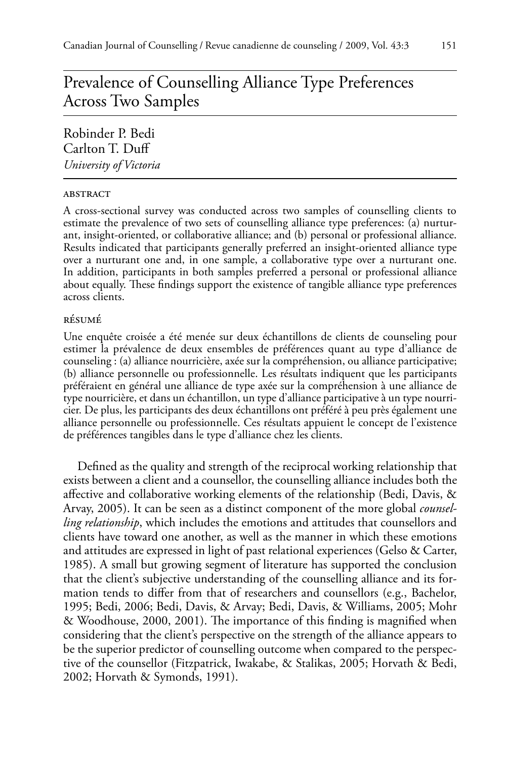# Prevalence of Counselling Alliance Type Preferences Across Two Samples

Robinder P. Bedi Carlton T. Duff *University of Victoria*

#### **ABSTRACT**

A cross-sectional survey was conducted across two samples of counselling clients to estimate the prevalence of two sets of counselling alliance type preferences: (a) nurturant, insight-oriented, or collaborative alliance; and (b) personal or professional alliance. Results indicated that participants generally preferred an insight-oriented alliance type over a nurturant one and, in one sample, a collaborative type over a nurturant one. In addition, participants in both samples preferred a personal or professional alliance about equally. These findings support the existence of tangible alliance type preferences across clients.

## résumé

Une enquête croisée a été menée sur deux échantillons de clients de counseling pour estimer la prévalence de deux ensembles de préférences quant au type d'alliance de counseling : (a) alliance nourricière, axée sur la compréhension, ou alliance participative; (b) alliance personnelle ou professionnelle. Les résultats indiquent que les participants préféraient en général une alliance de type axée sur la compréhension à une alliance de type nourricière, et dans un échantillon, un type d'alliance participative à un type nourricier. De plus, les participants des deux échantillons ont préféré à peu près également une alliance personnelle ou professionnelle. Ces résultats appuient le concept de l'existence de préférences tangibles dans le type d'alliance chez les clients.

Defined as the quality and strength of the reciprocal working relationship that exists between a client and a counsellor, the counselling alliance includes both the affective and collaborative working elements of the relationship (Bedi, Davis, & Arvay, 2005). It can be seen as a distinct component of the more global *counselling relationship*, which includes the emotions and attitudes that counsellors and clients have toward one another, as well as the manner in which these emotions and attitudes are expressed in light of past relational experiences (Gelso & Carter, 1985). A small but growing segment of literature has supported the conclusion that the client's subjective understanding of the counselling alliance and its formation tends to differ from that of researchers and counsellors (e.g., Bachelor, 1995; Bedi, 2006; Bedi, Davis, & Arvay; Bedi, Davis, & Williams, 2005; Mohr & Woodhouse, 2000, 2001). The importance of this finding is magnified when considering that the client's perspective on the strength of the alliance appears to be the superior predictor of counselling outcome when compared to the perspective of the counsellor (Fitzpatrick, Iwakabe, & Stalikas, 2005; Horvath & Bedi, 2002; Horvath & Symonds, 1991).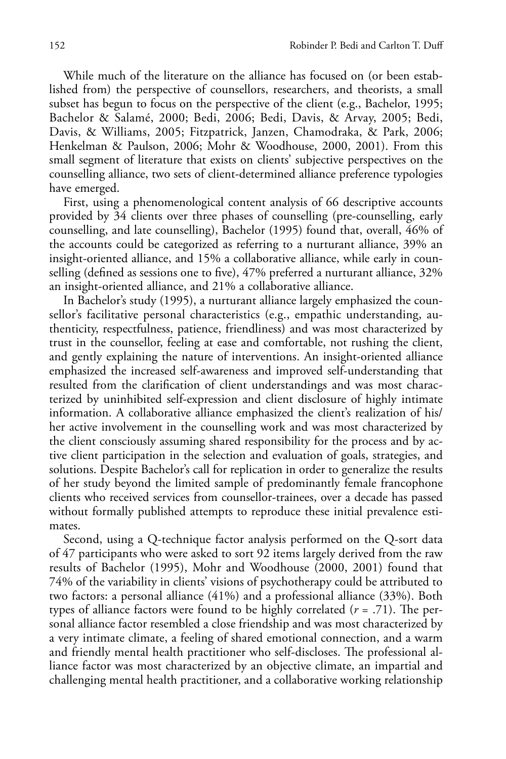While much of the literature on the alliance has focused on (or been established from) the perspective of counsellors, researchers, and theorists, a small subset has begun to focus on the perspective of the client (e.g., Bachelor, 1995; Bachelor & Salamé, 2000; Bedi, 2006; Bedi, Davis, & Arvay, 2005; Bedi, Davis, & Williams, 2005; Fitzpatrick, Janzen, Chamodraka, & Park, 2006; Henkelman & Paulson, 2006; Mohr & Woodhouse, 2000, 2001). From this small segment of literature that exists on clients' subjective perspectives on the counselling alliance, two sets of client-determined alliance preference typologies have emerged.

First, using a phenomenological content analysis of 66 descriptive accounts provided by 34 clients over three phases of counselling (pre-counselling, early counselling, and late counselling), Bachelor (1995) found that, overall, 46% of the accounts could be categorized as referring to a nurturant alliance, 39% an insight-oriented alliance, and 15% a collaborative alliance, while early in counselling (defined as sessions one to five), 47% preferred a nurturant alliance, 32% an insight-oriented alliance, and 21% a collaborative alliance.

In Bachelor's study (1995), a nurturant alliance largely emphasized the counsellor's facilitative personal characteristics (e.g., empathic understanding, authenticity, respectfulness, patience, friendliness) and was most characterized by trust in the counsellor, feeling at ease and comfortable, not rushing the client, and gently explaining the nature of interventions. An insight-oriented alliance emphasized the increased self-awareness and improved self-understanding that resulted from the clarification of client understandings and was most characterized by uninhibited self-expression and client disclosure of highly intimate information. A collaborative alliance emphasized the client's realization of his/ her active involvement in the counselling work and was most characterized by the client consciously assuming shared responsibility for the process and by active client participation in the selection and evaluation of goals, strategies, and solutions. Despite Bachelor's call for replication in order to generalize the results of her study beyond the limited sample of predominantly female francophone clients who received services from counsellor-trainees, over a decade has passed without formally published attempts to reproduce these initial prevalence estimates.

Second, using a Q-technique factor analysis performed on the Q-sort data of 47 participants who were asked to sort 92 items largely derived from the raw results of Bachelor (1995), Mohr and Woodhouse (2000, 2001) found that 74% of the variability in clients' visions of psychotherapy could be attributed to two factors: a personal alliance (41%) and a professional alliance (33%). Both types of alliance factors were found to be highly correlated (*r* = .71). The personal alliance factor resembled a close friendship and was most characterized by a very intimate climate, a feeling of shared emotional connection, and a warm and friendly mental health practitioner who self-discloses. The professional alliance factor was most characterized by an objective climate, an impartial and challenging mental health practitioner, and a collaborative working relationship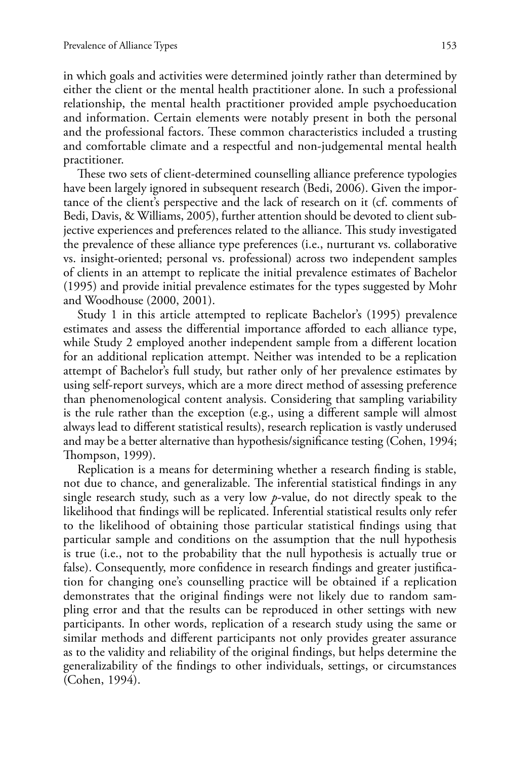in which goals and activities were determined jointly rather than determined by either the client or the mental health practitioner alone. In such a professional relationship, the mental health practitioner provided ample psychoeducation and information. Certain elements were notably present in both the personal and the professional factors. These common characteristics included a trusting and comfortable climate and a respectful and non-judgemental mental health practitioner.

These two sets of client-determined counselling alliance preference typologies have been largely ignored in subsequent research (Bedi, 2006). Given the importance of the client's perspective and the lack of research on it (cf. comments of Bedi, Davis, & Williams, 2005), further attention should be devoted to client subjective experiences and preferences related to the alliance. This study investigated the prevalence of these alliance type preferences (i.e., nurturant vs. collaborative vs. insight-oriented; personal vs. professional) across two independent samples of clients in an attempt to replicate the initial prevalence estimates of Bachelor (1995) and provide initial prevalence estimates for the types suggested by Mohr and Woodhouse (2000, 2001).

Study 1 in this article attempted to replicate Bachelor's (1995) prevalence estimates and assess the differential importance afforded to each alliance type, while Study 2 employed another independent sample from a different location for an additional replication attempt. Neither was intended to be a replication attempt of Bachelor's full study, but rather only of her prevalence estimates by using self-report surveys, which are a more direct method of assessing preference than phenomenological content analysis. Considering that sampling variability is the rule rather than the exception (e.g., using a different sample will almost always lead to different statistical results), research replication is vastly underused and may be a better alternative than hypothesis/significance testing (Cohen, 1994; Thompson, 1999).

Replication is a means for determining whether a research finding is stable, not due to chance, and generalizable. The inferential statistical findings in any single research study, such as a very low *p*-value, do not directly speak to the likelihood that findings will be replicated. Inferential statistical results only refer to the likelihood of obtaining those particular statistical findings using that particular sample and conditions on the assumption that the null hypothesis is true (i.e., not to the probability that the null hypothesis is actually true or false). Consequently, more confidence in research findings and greater justification for changing one's counselling practice will be obtained if a replication demonstrates that the original findings were not likely due to random sampling error and that the results can be reproduced in other settings with new participants. In other words, replication of a research study using the same or similar methods and different participants not only provides greater assurance as to the validity and reliability of the original findings, but helps determine the generalizability of the findings to other individuals, settings, or circumstances (Cohen, 1994).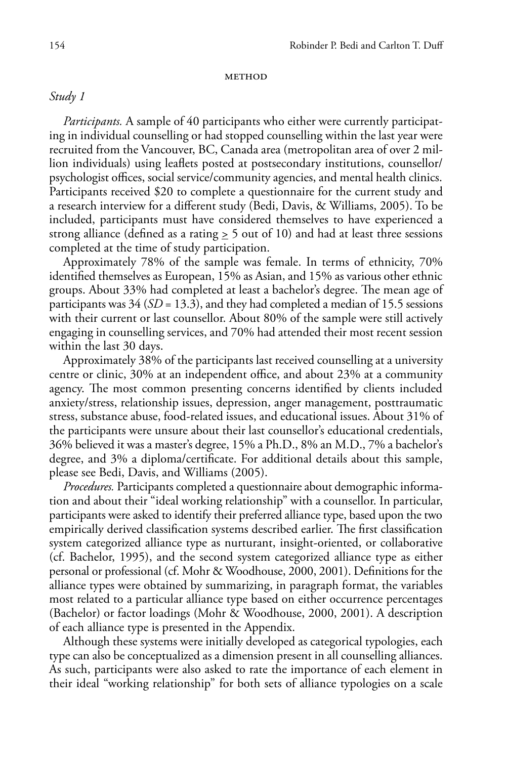#### **METHOD**

# *Study 1*

*Participants.* A sample of 40 participants who either were currently participating in individual counselling or had stopped counselling within the last year were recruited from the Vancouver, BC, Canada area (metropolitan area of over 2 million individuals) using leaflets posted at postsecondary institutions, counsellor/ psychologist offices, social service/community agencies, and mental health clinics. Participants received \$20 to complete a questionnaire for the current study and a research interview for a different study (Bedi, Davis, & Williams, 2005). To be included, participants must have considered themselves to have experienced a strong alliance (defined as a rating  $\geq 5$  out of 10) and had at least three sessions completed at the time of study participation.

Approximately 78% of the sample was female. In terms of ethnicity, 70% identified themselves as European, 15% as Asian, and 15% as various other ethnic groups. About 33% had completed at least a bachelor's degree. The mean age of participants was 34 (*SD* = 13.3), and they had completed a median of 15.5 sessions with their current or last counsellor. About 80% of the sample were still actively engaging in counselling services, and 70% had attended their most recent session within the last 30 days.

Approximately 38% of the participants last received counselling at a university centre or clinic, 30% at an independent office, and about 23% at a community agency. The most common presenting concerns identified by clients included anxiety/stress, relationship issues, depression, anger management, posttraumatic stress, substance abuse, food-related issues, and educational issues. About 31% of the participants were unsure about their last counsellor's educational credentials, 36% believed it was a master's degree, 15% a Ph.D., 8% an M.D., 7% a bachelor's degree, and 3% a diploma/certificate. For additional details about this sample, please see Bedi, Davis, and Williams (2005).

*Procedures.* Participants completed a questionnaire about demographic information and about their "ideal working relationship" with a counsellor. In particular, participants were asked to identify their preferred alliance type, based upon the two empirically derived classification systems described earlier. The first classification system categorized alliance type as nurturant, insight-oriented, or collaborative (cf. Bachelor, 1995), and the second system categorized alliance type as either personal or professional (cf. Mohr & Woodhouse, 2000, 2001). Definitions for the alliance types were obtained by summarizing, in paragraph format, the variables most related to a particular alliance type based on either occurrence percentages (Bachelor) or factor loadings (Mohr & Woodhouse, 2000, 2001). A description of each alliance type is presented in the Appendix.

Although these systems were initially developed as categorical typologies, each type can also be conceptualized as a dimension present in all counselling alliances. As such, participants were also asked to rate the importance of each element in their ideal "working relationship" for both sets of alliance typologies on a scale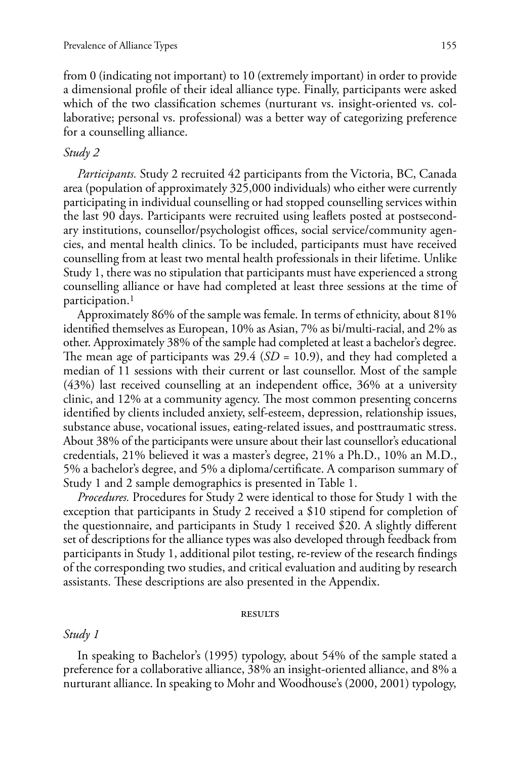from 0 (indicating not important) to 10 (extremely important) in order to provide a dimensional profile of their ideal alliance type. Finally, participants were asked which of the two classification schemes (nurturant vs. insight-oriented vs. collaborative; personal vs. professional) was a better way of categorizing preference for a counselling alliance.

## *Study 2*

*Participants.* Study 2 recruited 42 participants from the Victoria, BC, Canada area (population of approximately 325,000 individuals) who either were currently participating in individual counselling or had stopped counselling services within the last 90 days. Participants were recruited using leaflets posted at postsecondary institutions, counsellor/psychologist offices, social service/community agencies, and mental health clinics. To be included, participants must have received counselling from at least two mental health professionals in their lifetime. Unlike Study 1, there was no stipulation that participants must have experienced a strong counselling alliance or have had completed at least three sessions at the time of participation.<sup>1</sup>

Approximately 86% of the sample was female. In terms of ethnicity, about 81% identified themselves as European, 10% as Asian, 7% as bi/multi-racial, and 2% as other. Approximately 38% of the sample had completed at least a bachelor's degree. The mean age of participants was 29.4 (*SD* = 10.9), and they had completed a median of 11 sessions with their current or last counsellor. Most of the sample (43%) last received counselling at an independent office, 36% at a university clinic, and 12% at a community agency. The most common presenting concerns identified by clients included anxiety, self-esteem, depression, relationship issues, substance abuse, vocational issues, eating-related issues, and posttraumatic stress. About 38% of the participants were unsure about their last counsellor's educational credentials, 21% believed it was a master's degree, 21% a Ph.D., 10% an M.D., 5% a bachelor's degree, and 5% a diploma/certificate. A comparison summary of Study 1 and 2 sample demographics is presented in Table 1.

*Procedures.* Procedures for Study 2 were identical to those for Study 1 with the exception that participants in Study 2 received a \$10 stipend for completion of the questionnaire, and participants in Study 1 received \$20. A slightly different set of descriptions for the alliance types was also developed through feedback from participants in Study 1, additional pilot testing, re-review of the research findings of the corresponding two studies, and critical evaluation and auditing by research assistants. These descriptions are also presented in the Appendix.

#### **RESULTS**

## *Study 1*

In speaking to Bachelor's (1995) typology, about 54% of the sample stated a preference for a collaborative alliance, 38% an insight-oriented alliance, and 8% a nurturant alliance. In speaking to Mohr and Woodhouse's (2000, 2001) typology,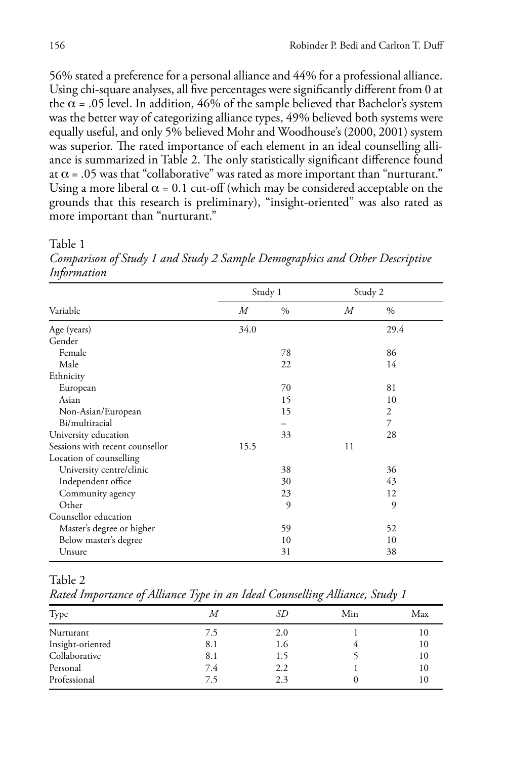56% stated a preference for a personal alliance and 44% for a professional alliance. Using chi-square analyses, all five percentages were significantly different from 0 at the  $\alpha$  = .05 level. In addition, 46% of the sample believed that Bachelor's system was the better way of categorizing alliance types, 49% believed both systems were equally useful, and only 5% believed Mohr and Woodhouse's (2000, 2001) system was superior. The rated importance of each element in an ideal counselling alliance is summarized in Table 2. The only statistically significant difference found at  $\alpha$  = .05 was that "collaborative" was rated as more important than "nurturant." Using a more liberal  $\alpha$  = 0.1 cut-off (which may be considered acceptable on the grounds that this research is preliminary), "insight-oriented" was also rated as more important than "nurturant."

Table 1

Study 1 Study 2 Variable *M* % *M* % Age (years) 34.0 29.4 Gender<br>Female Female 86 Male  $22$   $14$ Ethnicity European 81 Asian  $15$  10 Non-Asian/European 15 2 Bi/multiracial  $\qquad \qquad -$  7 University education 28 28 Sessions with recent counsellor 15.5 11 Location of counselling University centre/clinic 38 36 Independent office 30 43 Community agency 23 22 12 Other 9 9 Counsellor education Master's degree or higher 59 52 Below master's degree 10 10 Unsure  $31$   $38$ 

*Comparison of Study 1 and Study 2 Sample Demographics and Other Descriptive Information*

Table 2

*Rated Importance of Alliance Type in an Ideal Counselling Alliance, Study 1*

|                  | . . | . . |     |     |
|------------------|-----|-----|-----|-----|
| Type             | М   | SD  | Min | Max |
| Nurturant        | 7.5 | 2.0 |     | 10  |
| Insight-oriented | 8.1 | 1.6 |     | 10  |
| Collaborative    | 8.1 | 1.5 |     | 10  |
| Personal         | 7.4 | 2.2 |     | 10  |
| Professional     | 7.5 | 2.3 |     | 10  |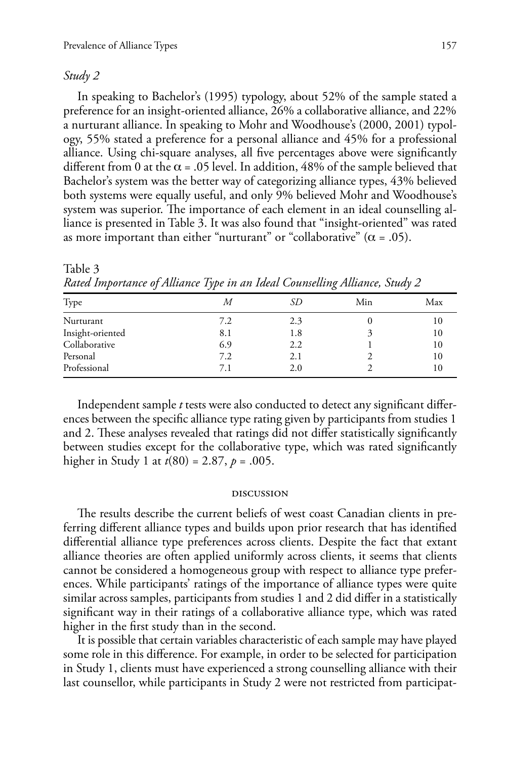## *Study 2*

In speaking to Bachelor's (1995) typology, about 52% of the sample stated a preference for an insight-oriented alliance, 26% a collaborative alliance, and 22% a nurturant alliance. In speaking to Mohr and Woodhouse's (2000, 2001) typology, 55% stated a preference for a personal alliance and 45% for a professional alliance. Using chi-square analyses, all five percentages above were significantly different from 0 at the  $\alpha$  = .05 level. In addition, 48% of the sample believed that Bachelor's system was the better way of categorizing alliance types, 43% believed both systems were equally useful, and only 9% believed Mohr and Woodhouse's system was superior. The importance of each element in an ideal counselling alliance is presented in Table 3. It was also found that "insight-oriented" was rated as more important than either "nurturant" or "collaborative" ( $\alpha$  = .05).

| ້                | - 1 | $\cdot$ |     |     |
|------------------|-----|---------|-----|-----|
| Type             | М   | SD      | Min | Max |
| Nurturant        | 7.2 | 2.3     |     |     |
| Insight-oriented | 8.1 | 1.8     |     |     |
| Collaborative    | 6.9 | 2.2     |     | 10  |
| Personal         | 7.2 | 2.1     |     | 10  |
| Professional     | 7.1 | 2.0     |     |     |

Table 3 *Rated Importance of Alliance Type in an Ideal Counselling Alliance, Study 2*

Independent sample *t* tests were also conducted to detect any significant differences between the specific alliance type rating given by participants from studies 1 and 2. These analyses revealed that ratings did not differ statistically significantly between studies except for the collaborative type, which was rated significantly higher in Study 1 at *t*(80) = 2.87, *p* = .005.

#### discussion

The results describe the current beliefs of west coast Canadian clients in preferring different alliance types and builds upon prior research that has identified differential alliance type preferences across clients. Despite the fact that extant alliance theories are often applied uniformly across clients, it seems that clients cannot be considered a homogeneous group with respect to alliance type preferences. While participants' ratings of the importance of alliance types were quite similar across samples, participants from studies 1 and 2 did differ in a statistically significant way in their ratings of a collaborative alliance type, which was rated higher in the first study than in the second.

It is possible that certain variables characteristic of each sample may have played some role in this difference. For example, in order to be selected for participation in Study 1, clients must have experienced a strong counselling alliance with their last counsellor, while participants in Study 2 were not restricted from participat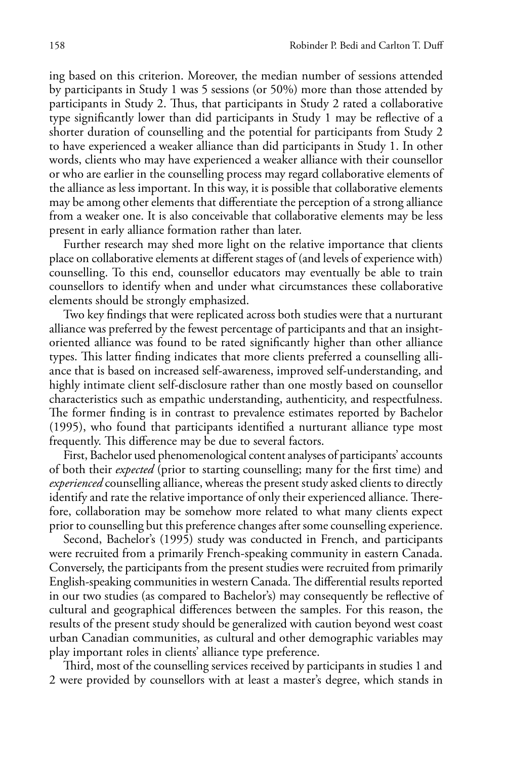ing based on this criterion. Moreover, the median number of sessions attended by participants in Study 1 was 5 sessions (or 50%) more than those attended by participants in Study 2. Thus, that participants in Study 2 rated a collaborative type significantly lower than did participants in Study 1 may be reflective of a shorter duration of counselling and the potential for participants from Study 2 to have experienced a weaker alliance than did participants in Study 1. In other words, clients who may have experienced a weaker alliance with their counsellor or who are earlier in the counselling process may regard collaborative elements of the alliance as less important. In this way, it is possible that collaborative elements may be among other elements that differentiate the perception of a strong alliance from a weaker one. It is also conceivable that collaborative elements may be less present in early alliance formation rather than later.

Further research may shed more light on the relative importance that clients place on collaborative elements at different stages of (and levels of experience with) counselling. To this end, counsellor educators may eventually be able to train counsellors to identify when and under what circumstances these collaborative elements should be strongly emphasized.

Two key findings that were replicated across both studies were that a nurturant alliance was preferred by the fewest percentage of participants and that an insightoriented alliance was found to be rated significantly higher than other alliance types. This latter finding indicates that more clients preferred a counselling alliance that is based on increased self-awareness, improved self-understanding, and highly intimate client self-disclosure rather than one mostly based on counsellor characteristics such as empathic understanding, authenticity, and respectfulness. The former finding is in contrast to prevalence estimates reported by Bachelor (1995), who found that participants identified a nurturant alliance type most frequently. This difference may be due to several factors.

First, Bachelor used phenomenological content analyses of participants' accounts of both their *expected* (prior to starting counselling; many for the first time) and *experienced* counselling alliance, whereas the present study asked clients to directly identify and rate the relative importance of only their experienced alliance. Therefore, collaboration may be somehow more related to what many clients expect prior to counselling but this preference changes after some counselling experience.

Second, Bachelor's (1995) study was conducted in French, and participants were recruited from a primarily French-speaking community in eastern Canada. Conversely, the participants from the present studies were recruited from primarily English-speaking communities in western Canada. The differential results reported in our two studies (as compared to Bachelor's) may consequently be reflective of cultural and geographical differences between the samples. For this reason, the results of the present study should be generalized with caution beyond west coast urban Canadian communities, as cultural and other demographic variables may play important roles in clients' alliance type preference.

Third, most of the counselling services received by participants in studies 1 and 2 were provided by counsellors with at least a master's degree, which stands in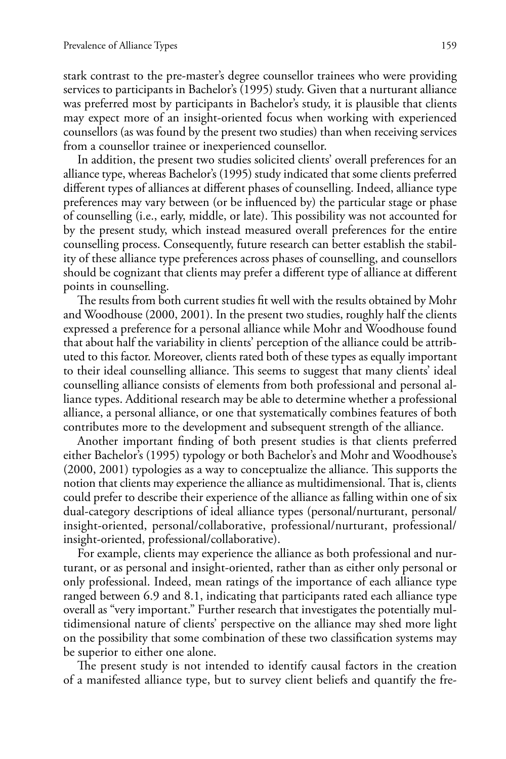stark contrast to the pre-master's degree counsellor trainees who were providing services to participants in Bachelor's (1995) study. Given that a nurturant alliance was preferred most by participants in Bachelor's study, it is plausible that clients may expect more of an insight-oriented focus when working with experienced counsellors (as was found by the present two studies) than when receiving services from a counsellor trainee or inexperienced counsellor.

In addition, the present two studies solicited clients' overall preferences for an alliance type, whereas Bachelor's (1995) study indicated that some clients preferred different types of alliances at different phases of counselling. Indeed, alliance type preferences may vary between (or be influenced by) the particular stage or phase of counselling (i.e., early, middle, or late). This possibility was not accounted for by the present study, which instead measured overall preferences for the entire counselling process. Consequently, future research can better establish the stability of these alliance type preferences across phases of counselling, and counsellors should be cognizant that clients may prefer a different type of alliance at different points in counselling.

The results from both current studies fit well with the results obtained by Mohr and Woodhouse (2000, 2001). In the present two studies, roughly half the clients expressed a preference for a personal alliance while Mohr and Woodhouse found that about half the variability in clients' perception of the alliance could be attributed to this factor. Moreover, clients rated both of these types as equally important to their ideal counselling alliance. This seems to suggest that many clients' ideal counselling alliance consists of elements from both professional and personal alliance types. Additional research may be able to determine whether a professional alliance, a personal alliance, or one that systematically combines features of both contributes more to the development and subsequent strength of the alliance.

Another important finding of both present studies is that clients preferred either Bachelor's (1995) typology or both Bachelor's and Mohr and Woodhouse's (2000, 2001) typologies as a way to conceptualize the alliance. This supports the notion that clients may experience the alliance as multidimensional. That is, clients could prefer to describe their experience of the alliance as falling within one of six dual-category descriptions of ideal alliance types (personal/nurturant, personal/ insight-oriented, personal/collaborative, professional/nurturant, professional/ insight-oriented, professional/collaborative).

For example, clients may experience the alliance as both professional and nurturant, or as personal and insight-oriented, rather than as either only personal or only professional. Indeed, mean ratings of the importance of each alliance type ranged between 6.9 and 8.1, indicating that participants rated each alliance type overall as "very important." Further research that investigates the potentially multidimensional nature of clients' perspective on the alliance may shed more light on the possibility that some combination of these two classification systems may be superior to either one alone.

The present study is not intended to identify causal factors in the creation of a manifested alliance type, but to survey client beliefs and quantify the fre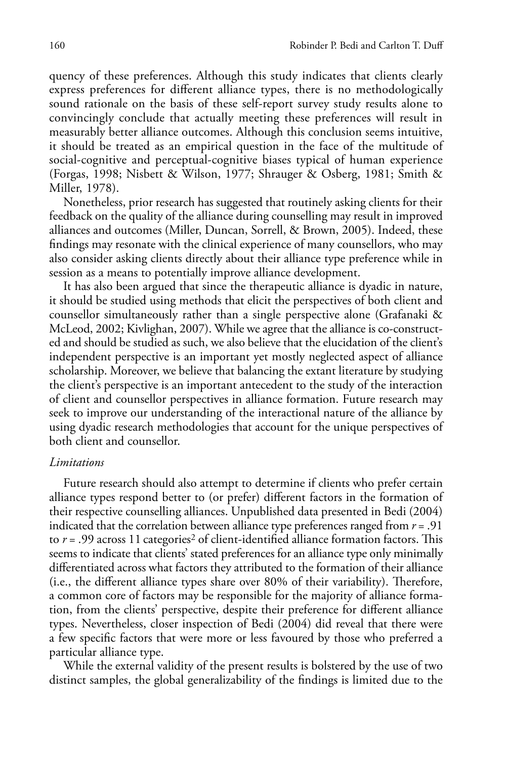quency of these preferences. Although this study indicates that clients clearly express preferences for different alliance types, there is no methodologically sound rationale on the basis of these self-report survey study results alone to convincingly conclude that actually meeting these preferences will result in measurably better alliance outcomes. Although this conclusion seems intuitive, it should be treated as an empirical question in the face of the multitude of social-cognitive and perceptual-cognitive biases typical of human experience (Forgas, 1998; Nisbett & Wilson, 1977; Shrauger & Osberg, 1981; Smith & Miller, 1978).

Nonetheless, prior research has suggested that routinely asking clients for their feedback on the quality of the alliance during counselling may result in improved alliances and outcomes (Miller, Duncan, Sorrell, & Brown, 2005). Indeed, these findings may resonate with the clinical experience of many counsellors, who may also consider asking clients directly about their alliance type preference while in session as a means to potentially improve alliance development.

It has also been argued that since the therapeutic alliance is dyadic in nature, it should be studied using methods that elicit the perspectives of both client and counsellor simultaneously rather than a single perspective alone (Grafanaki & McLeod, 2002; Kivlighan, 2007). While we agree that the alliance is co-constructed and should be studied as such, we also believe that the elucidation of the client's independent perspective is an important yet mostly neglected aspect of alliance scholarship. Moreover, we believe that balancing the extant literature by studying the client's perspective is an important antecedent to the study of the interaction of client and counsellor perspectives in alliance formation. Future research may seek to improve our understanding of the interactional nature of the alliance by using dyadic research methodologies that account for the unique perspectives of both client and counsellor.

#### *Limitations*

Future research should also attempt to determine if clients who prefer certain alliance types respond better to (or prefer) different factors in the formation of their respective counselling alliances. Unpublished data presented in Bedi (2004) indicated that the correlation between alliance type preferences ranged from *r* = .91 to *r* = .99 across 11 categories<sup>2</sup> of client-identified alliance formation factors. This seems to indicate that clients' stated preferences for an alliance type only minimally differentiated across what factors they attributed to the formation of their alliance (i.e., the different alliance types share over 80% of their variability). Therefore, a common core of factors may be responsible for the majority of alliance formation, from the clients' perspective, despite their preference for different alliance types. Nevertheless, closer inspection of Bedi (2004) did reveal that there were a few specific factors that were more or less favoured by those who preferred a particular alliance type.

While the external validity of the present results is bolstered by the use of two distinct samples, the global generalizability of the findings is limited due to the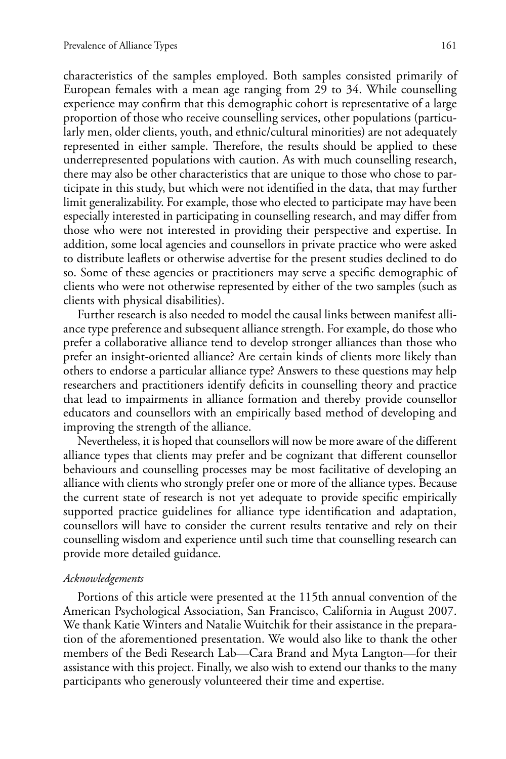characteristics of the samples employed. Both samples consisted primarily of European females with a mean age ranging from 29 to 34. While counselling experience may confirm that this demographic cohort is representative of a large proportion of those who receive counselling services, other populations (particularly men, older clients, youth, and ethnic/cultural minorities) are not adequately represented in either sample. Therefore, the results should be applied to these underrepresented populations with caution. As with much counselling research, there may also be other characteristics that are unique to those who chose to participate in this study, but which were not identified in the data, that may further limit generalizability. For example, those who elected to participate may have been especially interested in participating in counselling research, and may differ from those who were not interested in providing their perspective and expertise. In addition, some local agencies and counsellors in private practice who were asked to distribute leaflets or otherwise advertise for the present studies declined to do so. Some of these agencies or practitioners may serve a specific demographic of clients who were not otherwise represented by either of the two samples (such as clients with physical disabilities).

Further research is also needed to model the causal links between manifest alliance type preference and subsequent alliance strength. For example, do those who prefer a collaborative alliance tend to develop stronger alliances than those who prefer an insight-oriented alliance? Are certain kinds of clients more likely than others to endorse a particular alliance type? Answers to these questions may help researchers and practitioners identify deficits in counselling theory and practice that lead to impairments in alliance formation and thereby provide counsellor educators and counsellors with an empirically based method of developing and improving the strength of the alliance.

Nevertheless, it is hoped that counsellors will now be more aware of the different alliance types that clients may prefer and be cognizant that different counsellor behaviours and counselling processes may be most facilitative of developing an alliance with clients who strongly prefer one or more of the alliance types. Because the current state of research is not yet adequate to provide specific empirically supported practice guidelines for alliance type identification and adaptation, counsellors will have to consider the current results tentative and rely on their counselling wisdom and experience until such time that counselling research can provide more detailed guidance.

#### *Acknowledgements*

Portions of this article were presented at the 115th annual convention of the American Psychological Association, San Francisco, California in August 2007. We thank Katie Winters and Natalie Wuitchik for their assistance in the preparation of the aforementioned presentation. We would also like to thank the other members of the Bedi Research Lab—Cara Brand and Myta Langton—for their assistance with this project. Finally, we also wish to extend our thanks to the many participants who generously volunteered their time and expertise.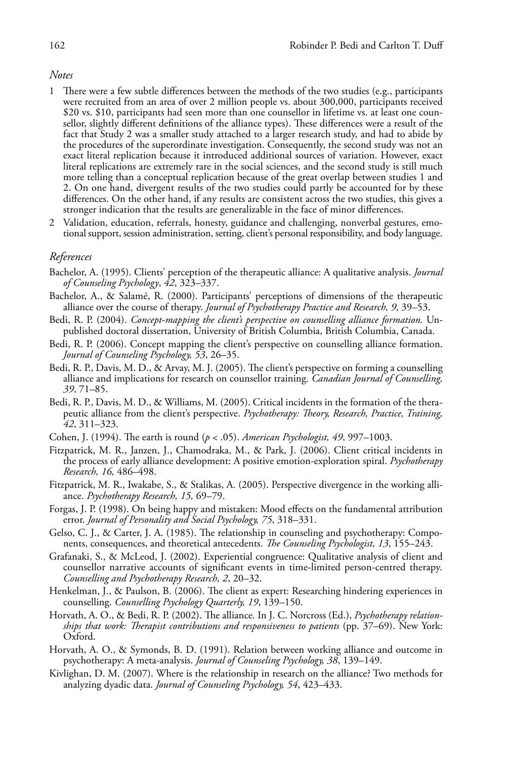#### *Notes*

- 1 There were a few subtle differences between the methods of the two studies (e.g., participants were recruited from an area of over 2 million people vs. about 300,000, participants received \$20 vs. \$10, participants had seen more than one counsellor in lifetime vs. at least one counsellor, slightly different definitions of the alliance types). These differences were a result of the fact that Study 2 was a smaller study attached to a larger research study, and had to abide by the procedures of the superordinate investigation. Consequently, the second study was not an exact literal replication because it introduced additional sources of variation. However, exact literal replications are extremely rare in the social sciences, and the second study is still much more telling than a conceptual replication because of the great overlap between studies 1 and 2. On one hand, divergent results of the two studies could partly be accounted for by these differences. On the other hand, if any results are consistent across the two studies, this gives a stronger indication that the results are generalizable in the face of minor differences.
- 2 Validation, education, referrals, honesty, guidance and challenging, nonverbal gestures, emotional support, session administration, setting, client's personal responsibility, and body language.

#### *References*

- Bachelor, A. (1995). Clients' perception of the therapeutic alliance: A qualitative analysis. *Journal of Counseling Psychology*, *42*, 323–337.
- Bachelor, A., & Salamé, R. (2000). Participants' perceptions of dimensions of the therapeutic alliance over the course of therapy. *Journal of Psychotherapy Practice and Research, 9,* 39–53.
- Bedi, R. P. (2004). *Concept-mapping the client's perspective on counselling alliance formation.* Unpublished doctoral dissertation, University of British Columbia, British Columbia, Canada.
- Bedi, R. P. (2006). Concept mapping the client's perspective on counselling alliance formation. *Journal of Counseling Psychology, 53*, 26–35.
- Bedi, R. P., Davis, M. D., & Arvay, M. J. (2005). The client's perspective on forming a counselling alliance and implications for research on counsellor training. *Canadian Journal of Counselling, 39*, 71–85.
- Bedi, R. P., Davis, M. D., & Williams, M. (2005). Critical incidents in the formation of the therapeutic alliance from the client's perspective. *Psychotherapy: Theory, Research, Practice, Training, 42*, 311–323.
- Cohen, J. (1994). The earth is round (*p* < .05). *American Psychologist, 49*, 997–1003.
- Fitzpatrick, M. R., Janzen, J., Chamodraka, M., & Park, J. (2006). Client critical incidents in the process of early alliance development: A positive emotion-exploration spiral. *Psychotherapy Research, 16,* 486–498.
- Fitzpatrick, M. R., Iwakabe, S., & Stalikas, A. (2005). Perspective divergence in the working alliance. *Psychotherapy Research, 15,* 69–79.
- Forgas, J. P. (1998). On being happy and mistaken: Mood effects on the fundamental attribution error. *Journal of Personality and Social Psychology, 75*, 318–331.
- Gelso, C. J., & Carter, J. A. (1985). The relationship in counseling and psychotherapy: Components, consequences, and theoretical antecedents. *The Counseling Psychologist, 13*, 155–243.
- Grafanaki, S., & McLeod, J. (2002). Experiential congruence: Qualitative analysis of client and counsellor narrative accounts of significant events in time-limited person-centred therapy. *Counselling and Psychotherapy Research, 2*, 20–32.
- Henkelman, J., & Paulson, B. (2006). The client as expert: Researching hindering experiences in counselling. *Counselling Psychology Quarterly, 19*, 139–150.
- Horvath, A. O., & Bedi, R. P. (2002). The alliance*.* In J. C. Norcross (Ed.), *Psychotherapy relationships that work: Therapist contributions and responsiveness to patients* (pp. 37–69). New York: Oxford.
- Horvath, A. O., & Symonds, B. D. (1991). Relation between working alliance and outcome in psychotherapy: A meta-analysis. *Journal of Counseling Psychology, 38*, 139–149.
- Kivlighan, D. M. (2007). Where is the relationship in research on the alliance? Two methods for analyzing dyadic data. *Journal of Counseling Psychology, 54*, 423–433.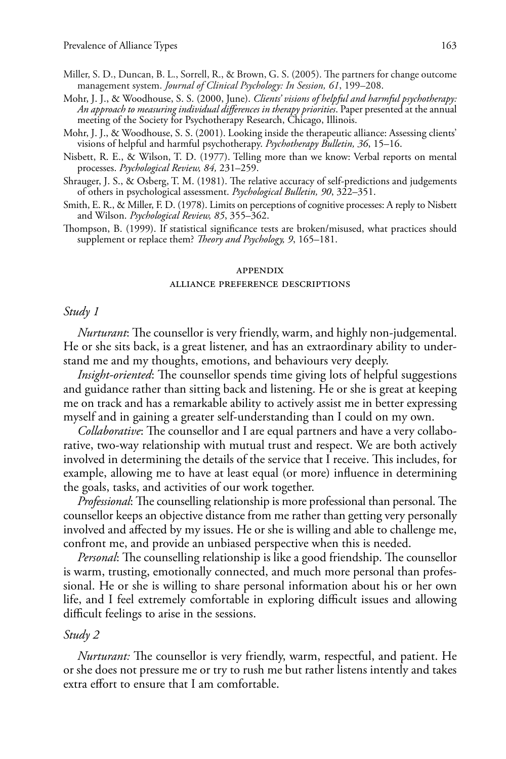- Miller, S. D., Duncan, B. L., Sorrell, R., & Brown, G. S. (2005). The partners for change outcome management system. *Journal of Clinical Psychology: In Session, 61*, 199–208.
- Mohr, J. J., & Woodhouse, S. S. (2000, June). *Clients' visions of helpful and harmful psychotherapy: An approach to measuring individual differences in therapy priorities*. Paper presented at the annual meeting of the Society for Psychotherapy Research, Chicago, Illinois.
- Mohr, J. J., & Woodhouse, S. S. (2001). Looking inside the therapeutic alliance: Assessing clients' visions of helpful and harmful psychotherapy. *Psychotherapy Bulletin, 36*, 15–16.
- Nisbett, R. E., & Wilson, T. D. (1977). Telling more than we know: Verbal reports on mental processes. *Psychological Review, 84,* 231–259.
- Shrauger, J. S., & Osberg, T. M. (1981). The relative accuracy of self-predictions and judgements of others in psychological assessment. *Psychological Bulletin, 90*, 322–351.
- Smith, E. R., & Miller, F. D. (1978). Limits on perceptions of cognitive processes: A reply to Nisbett and Wilson. *Psychological Review, 85*, 355–362.
- Thompson, B. (1999). If statistical significance tests are broken/misused, what practices should supplement or replace them? *Theory and Psychology, 9*, 165–181.

#### appendix

#### alliance preference descriptions

### *Study 1*

*Nurturant*: The counsellor is very friendly, warm, and highly non-judgemental. He or she sits back, is a great listener, and has an extraordinary ability to understand me and my thoughts, emotions, and behaviours very deeply.

*Insight-oriented*: The counsellor spends time giving lots of helpful suggestions and guidance rather than sitting back and listening. He or she is great at keeping me on track and has a remarkable ability to actively assist me in better expressing myself and in gaining a greater self-understanding than I could on my own.

*Collaborative*: The counsellor and I are equal partners and have a very collaborative, two-way relationship with mutual trust and respect. We are both actively involved in determining the details of the service that I receive. This includes, for example, allowing me to have at least equal (or more) influence in determining the goals, tasks, and activities of our work together.

*Professional*: The counselling relationship is more professional than personal. The counsellor keeps an objective distance from me rather than getting very personally involved and affected by my issues. He or she is willing and able to challenge me, confront me, and provide an unbiased perspective when this is needed.

*Personal*: The counselling relationship is like a good friendship. The counsellor is warm, trusting, emotionally connected, and much more personal than professional. He or she is willing to share personal information about his or her own life, and I feel extremely comfortable in exploring difficult issues and allowing difficult feelings to arise in the sessions.

# *Study 2*

*Nurturant:* The counsellor is very friendly, warm, respectful, and patient. He or she does not pressure me or try to rush me but rather listens intently and takes extra effort to ensure that I am comfortable.